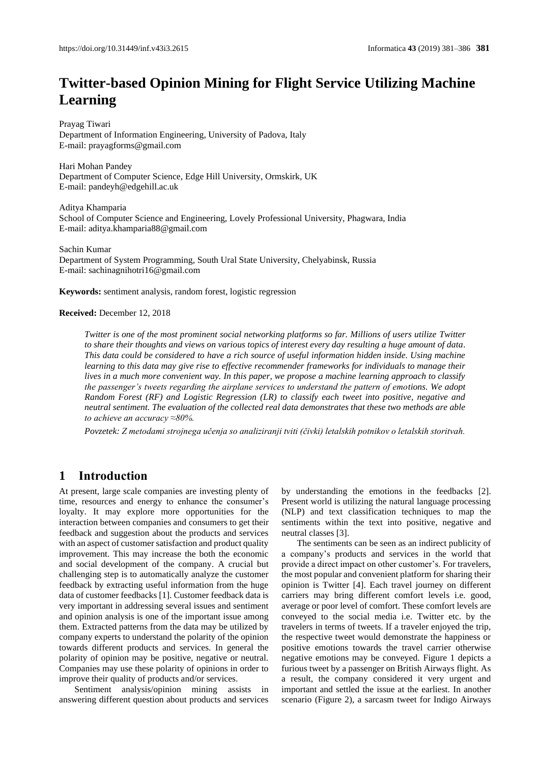# **Twitter-based Opinion Mining for Flight Service Utilizing Machine Learning**

Prayag Tiwari Department of Information Engineering, University of Padova, Italy E-mail: prayagforms@gmail.com

Hari Mohan Pandey Department of Computer Science, Edge Hill University, Ormskirk, UK E-mail[: pandeyh@edgehill.ac.uk](mailto:pandeyh@edgehill.ac.uk)

Aditya Khamparia School of Computer Science and Engineering, Lovely Professional University, Phagwara, India E-mail: aditya.khamparia88@gmail.com

Sachin Kumar Department of System Programming, South Ural State University, Chelyabinsk, Russia E-mail: sachinagnihotri16@gmail.com

**Keywords:** sentiment analysis, random forest, logistic regression

#### **Received:** December 12, 2018

*Twitter is one of the most prominent social networking platforms so far. Millions of users utilize Twitter to share their thoughts and views on various topics of interest every day resulting a huge amount of data. This data could be considered to have a rich source of useful information hidden inside. Using machine learning to this data may give rise to effective recommender frameworks for individuals to manage their lives in a much more convenient way. In this paper, we propose a machine learning approach to classify the passenger's tweets regarding the airplane services to understand the pattern of emotions. We adopt Random Forest (RF) and Logistic Regression (LR) to classify each tweet into positive, negative and neutral sentiment. The evaluation of the collected real data demonstrates that these two methods are able to achieve an accuracy ≈80%.* 

*Povzetek: Z metodami strojnega učenja so analiziranji tviti (čivki) letalskih potnikov o letalskih storitvah.*

# **1 Introduction**

At present, large scale companies are investing plenty of time, resources and energy to enhance the consumer's loyalty. It may explore more opportunities for the interaction between companies and consumers to get their feedback and suggestion about the products and services with an aspect of customer satisfaction and product quality improvement. This may increase the both the economic and social development of the company. A crucial but challenging step is to automatically analyze the customer feedback by extracting useful information from the huge data of customer feedbacks [1]. Customer feedback data is very important in addressing several issues and sentiment and opinion analysis is one of the important issue among them. Extracted patterns from the data may be utilized by company experts to understand the polarity of the opinion towards different products and services. In general the polarity of opinion may be positive, negative or neutral. Companies may use these polarity of opinions in order to improve their quality of products and/or services.

Sentiment analysis/opinion mining assists in answering different question about products and services by understanding the emotions in the feedbacks [2]. Present world is utilizing the natural language processing (NLP) and text classification techniques to map the sentiments within the text into positive, negative and neutral classes [3].

The sentiments can be seen as an indirect publicity of a company's products and services in the world that provide a direct impact on other customer's. For travelers, the most popular and convenient platform for sharing their opinion is Twitter [4]. Each travel journey on different carriers may bring different comfort levels i.e. good, average or poor level of comfort. These comfort levels are conveyed to the social media i.e. Twitter etc. by the travelers in terms of tweets. If a traveler enjoyed the trip, the respective tweet would demonstrate the happiness or positive emotions towards the travel carrier otherwise negative emotions may be conveyed. Figure 1 depicts a furious tweet by a passenger on British Airways flight. As a result, the company considered it very urgent and important and settled the issue at the earliest. In another scenario (Figure 2), a sarcasm tweet for Indigo Airways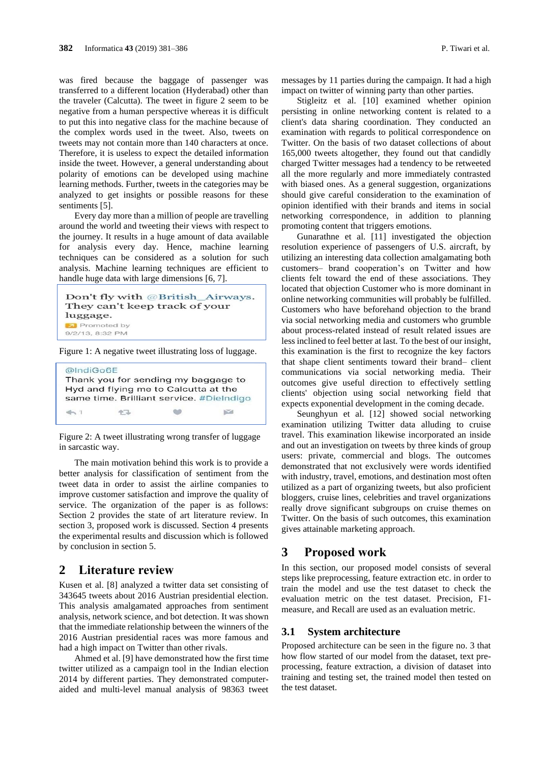was fired because the baggage of passenger was transferred to a different location (Hyderabad) other than the traveler (Calcutta). The tweet in figure 2 seem to be negative from a human perspective whereas it is difficult to put this into negative class for the machine because of the complex words used in the tweet. Also, tweets on tweets may not contain more than 140 characters at once. Therefore, it is useless to expect the detailed information inside the tweet. However, a general understanding about polarity of emotions can be developed using machine learning methods. Further, tweets in the categories may be analyzed to get insights or possible reasons for these sentiments [5].

Every day more than a million of people are travelling around the world and tweeting their views with respect to the journey. It results in a huge amount of data available for analysis every day. Hence, machine learning techniques can be considered as a solution for such analysis. Machine learning techniques are efficient to handle huge data with large dimensions [6, 7].

```
Don't fly with @British_Airways.
They can't keep track of your
luggage.
 Promoted by
9/2/13, 8:32 PM
```
Figure 1: A negative tweet illustrating loss of luggage.



Figure 2: A tweet illustrating wrong transfer of luggage in sarcastic way.

The main motivation behind this work is to provide a better analysis for classification of sentiment from the tweet data in order to assist the airline companies to improve customer satisfaction and improve the quality of service. The organization of the paper is as follows: Section 2 provides the state of art literature review. In section 3, proposed work is discussed. Section 4 presents the experimental results and discussion which is followed by conclusion in section 5.

# **2 Literature review**

Kusen et al. [8] analyzed a twitter data set consisting of 343645 tweets about 2016 Austrian presidential election. This analysis amalgamated approaches from sentiment analysis, network science, and bot detection. It was shown that the immediate relationship between the winners of the 2016 Austrian presidential races was more famous and had a high impact on Twitter than other rivals.

Ahmed et al. [9] have demonstrated how the first time twitter utilized as a campaign tool in the Indian election 2014 by different parties. They demonstrated computeraided and multi-level manual analysis of 98363 tweet messages by 11 parties during the campaign. It had a high impact on twitter of winning party than other parties.

Stigleitz et al. [10] examined whether opinion persisting in online networking content is related to a client's data sharing coordination. They conducted an examination with regards to political correspondence on Twitter. On the basis of two dataset collections of about 165,000 tweets altogether, they found out that candidly charged Twitter messages had a tendency to be retweeted all the more regularly and more immediately contrasted with biased ones. As a general suggestion, organizations should give careful consideration to the examination of opinion identified with their brands and items in social networking correspondence, in addition to planning promoting content that triggers emotions.

Gunarathne et al. [11] investigated the objection resolution experience of passengers of U.S. aircraft, by utilizing an interesting data collection amalgamating both customers– brand cooperation's on Twitter and how clients felt toward the end of these associations. They located that objection Customer who is more dominant in online networking communities will probably be fulfilled. Customers who have beforehand objection to the brand via social networking media and customers who grumble about process-related instead of result related issues are less inclined to feel better at last. To the best of our insight, this examination is the first to recognize the key factors that shape client sentiments toward their brand– client communications via social networking media. Their outcomes give useful direction to effectively settling clients' objection using social networking field that expects exponential development in the coming decade.

Seunghyun et al. [12] showed social networking examination utilizing Twitter data alluding to cruise travel. This examination likewise incorporated an inside and out an investigation on tweets by three kinds of group users: private, commercial and blogs. The outcomes demonstrated that not exclusively were words identified with industry, travel, emotions, and destination most often utilized as a part of organizing tweets, but also proficient bloggers, cruise lines, celebrities and travel organizations really drove significant subgroups on cruise themes on Twitter. On the basis of such outcomes, this examination gives attainable marketing approach.

## **3 Proposed work**

In this section, our proposed model consists of several steps like preprocessing, feature extraction etc. in order to train the model and use the test dataset to check the evaluation metric on the test dataset. Precision, F1 measure, and Recall are used as an evaluation metric.

#### **3.1 System architecture**

Proposed architecture can be seen in the figure no. 3 that how flow started of our model from the dataset, text preprocessing, feature extraction, a division of dataset into training and testing set, the trained model then tested on the test dataset.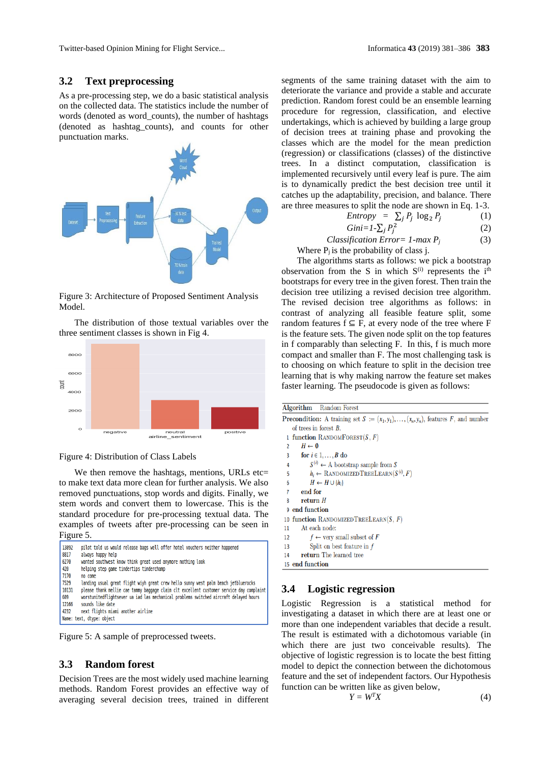Twitter-based Opinion Mining for Flight Service... Informatica **43** (2019) 381–386 **383**

#### **3.2 Text preprocessing**

As a pre-processing step, we do a basic statistical analysis on the collected data. The statistics include the number of words (denoted as word\_counts), the number of hashtags (denoted as hashtag\_counts), and counts for other punctuation marks.



Figure 3: Architecture of Proposed Sentiment Analysis Model.

The distribution of those textual variables over the three sentiment classes is shown in Fig 4.





We then remove the hashtags, mentions, URLs etc= to make text data more clean for further analysis. We also removed punctuations, stop words and digits. Finally, we stem words and convert them to lowercase. This is the standard procedure for pre-processing textual data. The examples of tweets after pre-processing can be seen in Figure 5.

| - - - - - - - .           |                                                                                                  |  |  |
|---------------------------|--------------------------------------------------------------------------------------------------|--|--|
| 13892<br>8817             | pilot told us would release bags well offer hotel vouchers neither happened<br>always happy help |  |  |
| 6270                      | wanted southwest know think great used anymore nothing look                                      |  |  |
| 420                       | helping step game tindertips tinderchamp                                                         |  |  |
| 7170                      | no come                                                                                          |  |  |
| 7529                      | landing usual great flight wiyh great crew hello sunny west palm beach jetbluerocks              |  |  |
| 10131                     | please thank mellie cae tammy baggage claim clt excellent customer service day complaint         |  |  |
| 609                       | worstunitedflightsever ua iad las mechanical problems switched aircraft delayed hours            |  |  |
| 12166                     | sounds like date                                                                                 |  |  |
|                           | next flights miami another airline<br>4232                                                       |  |  |
| Name: text, dtype: object |                                                                                                  |  |  |

Figure 5: A sample of preprocessed tweets.

#### **3.3 Random forest**

Decision Trees are the most widely used machine learning methods. Random Forest provides an effective way of averaging several decision trees, trained in different

segments of the same training dataset with the aim to deteriorate the variance and provide a stable and accurate prediction. Random forest could be an ensemble learning procedure for regression, classification, and elective undertakings, which is achieved by building a large group of decision trees at training phase and provoking the classes which are the model for the mean prediction (regression) or classifications (classes) of the distinctive trees. In a distinct computation, classification is implemented recursively until every leaf is pure. The aim is to dynamically predict the best decision tree until it catches up the adaptability, precision, and balance. There are three measures to split the node are shown in Eq. 1-3.

$$
Entropy = \sum_{j} P_j \log_2 P_j \tag{1}
$$

$$
Gini = I - \sum_{j} P_j^2 \tag{2}
$$

 *Classification Error= 1-max Pj* (3) Where  $P_i$  is the probability of class j.

The algorithms starts as follows: we pick a bootstrap observation from the S in which  $S^{(i)}$  represents the i<sup>th</sup> bootstraps for every tree in the given forest. Then train the decision tree utilizing a revised decision tree algorithm. The revised decision tree algorithms as follows: in contrast of analyzing all feasible feature split, some random features  $f \subseteq F$ , at every node of the tree where F is the feature sets. The given node split on the top features in f comparably than selecting F. In this, f is much more compact and smaller than F. The most challenging task is to choosing on which feature to split in the decision tree learning that is why making narrow the feature set makes faster learning. The pseudocode is given as follows:

```
Algorithm Random Forest
Precondition: A training set S := (x_1, y_1), \ldots, (x_n, y_n), features F, and number
    of trees in forest B.
  1 function RANDOMFOREST(S, F)H \leftarrow \emptyset\overline{2}for i \in 1, ..., B do
            S^{(i)} \leftarrow \mathcal{A} bootstrap sample from S\Lambdah_i \leftarrow RANDOMIZED TREELEARN(S^{(i)}, F)
  5
            H \leftarrow H \cup \{h_i\}6
        end for
        return H\overline{R}9 end function
10 function RANDOMIZEDTREELEARN(S, F)
11At each node:
12f \leftarrow very small subset of F
13
            Split on best feature in f14return The learned tree
15 end function
```
# **3.4 Logistic regression**

Logistic Regression is a statistical method for investigating a dataset in which there are at least one or more than one independent variables that decide a result. The result is estimated with a dichotomous variable (in which there are just two conceivable results). The objective of logistic regression is to locate the best fitting model to depict the connection between the dichotomous feature and the set of independent factors. Our Hypothesis function can be written like as given below,

$$
Y = W^T X \tag{4}
$$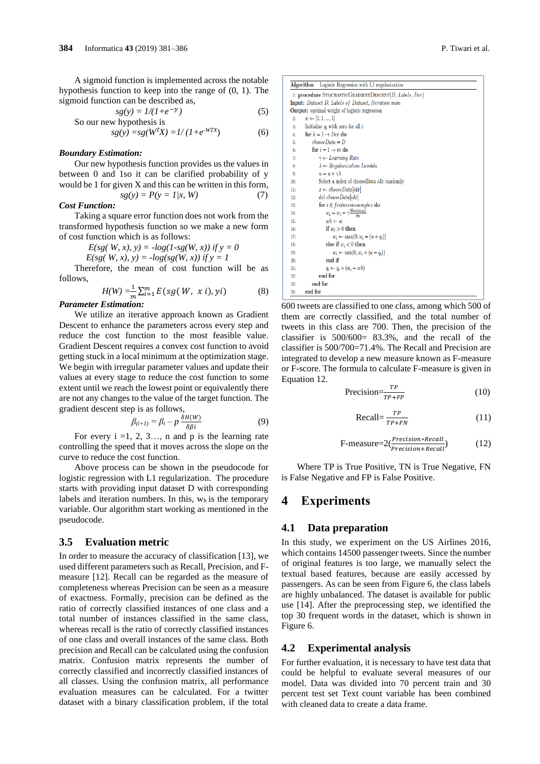A sigmoid function is implemented across the notable hypothesis function to keep into the range of (0, 1). The sigmoid function can be described as,

$$
sg(y) = 1/(1 + e^{-y})
$$
 (5)  
So our new hypothesis is

$$
sg(y) = sg(W^T X) = 1/(1 + e^{-WTX})
$$
(6)

#### *Boundary Estimation:*

Our new hypothesis function provides us the values in between 0 and 1so it can be clarified probability of y would be 1 for given X and this can be written in this form,

# $sg(y) = P(y = 1/x, W)$  (7)

#### *Cost Function:*

Taking a square error function does not work from the transformed hypothesis function so we make a new form of cost function which is as follows:

*E*(sg( *W*, x),  $y$ ) =  $-log(1-sg(W, x))$  *if*  $y = 0$ 

$$
E(sg(W, x), y) = -log(sg(W, x)) \text{ if } y = 1
$$

Therefore, the mean of cost function will be as follows,

$$
H(W) = \frac{1}{m} \sum_{i=1}^{m} E(sg(W, x i), yi)
$$
 (8)

# *Parameter Estimation:*

We utilize an iterative approach known as Gradient Descent to enhance the parameters across every step and reduce the cost function to the most feasible value. Gradient Descent requires a convex cost function to avoid getting stuck in a local minimum at the optimization stage. We begin with irregular parameter values and update their values at every stage to reduce the cost function to some extent until we reach the lowest point or equivalently there are not any changes to the value of the target function. The gradient descent step is as follows,

$$
\beta_{(i+1)} = \beta_i - p \frac{\delta H(W)}{\delta \beta i}
$$
 (9)

For every  $i = 1, 2, 3, \ldots$ , n and p is the learning rate controlling the speed that it moves across the slope on the curve to reduce the cost function.

Above process can be shown in the pseudocode for logistic regression with L1 regularization. The procedure starts with providing input dataset D with corresponding labels and iteration numbers. In this,  $w<sub>h</sub>$  is the temporary variable. Our algorithm start working as mentioned in the pseudocode.

#### **3.5 Evaluation metric**

In order to measure the accuracy of classification [13], we used different parameters such as Recall, Precision, and Fmeasure [12]. Recall can be regarded as the measure of completeness whereas Precision can be seen as a measure of exactness. Formally, precision can be defined as the ratio of correctly classified instances of one class and a total number of instances classified in the same class, whereas recall is the ratio of correctly classified instances of one class and overall instances of the same class. Both precision and Recall can be calculated using the confusion matrix. Confusion matrix represents the number of correctly classified and incorrectly classified instances of all classes. Using the confusion matrix, all performance evaluation measures can be calculated. For a twitter dataset with a binary classification problem, if the total

| Algorithm                                                 | Logistic Regression with L1 regularization                      |  |  |  |
|-----------------------------------------------------------|-----------------------------------------------------------------|--|--|--|
| 1: procedure STOCHASTICGRADIENTDESCENT(D, Labels, Iter)   |                                                                 |  |  |  |
| <b>Input:</b> Dataset D, Labels of Dataset, Iteration num |                                                                 |  |  |  |
|                                                           | <b>Output:</b> optimal weight of logistic regression            |  |  |  |
| 2:                                                        | $w \leftarrow [1, 1, , 1]$                                      |  |  |  |
| 3 <sub>i</sub>                                            | Initialize $q_i$ with zero for all i                            |  |  |  |
| 4:                                                        | for $k = 1 \rightarrow$ <i>I</i> ter do                         |  |  |  |
| 5:                                                        | $chooseData = D$                                                |  |  |  |
| 6:                                                        | for $i = 1 \rightarrow m$ do                                    |  |  |  |
| 7:                                                        | $\gamma \leftarrow$ Learning Rate                               |  |  |  |
| 8:                                                        | $\lambda \leftarrow Regularization$ Lambda                      |  |  |  |
| 9:                                                        | $u = u + \gamma \lambda$                                        |  |  |  |
| 10:                                                       | Select a index of chooseData <i>idx</i> randomly                |  |  |  |
| 11:                                                       | $x \leftarrow chooseData_idx$                                   |  |  |  |
| 12:                                                       | del chooseData[idx]                                             |  |  |  |
| 13:                                                       | for $i \in features in sample x$ do                             |  |  |  |
| 14:                                                       | $w_i = w_i - \gamma \frac{\partial loss(w, x_i)}{\partial w_i}$ |  |  |  |
| 15 <sub>1</sub>                                           | $wh \leftarrow w$                                               |  |  |  |
| 16:                                                       | if $w_i > 0$ then                                               |  |  |  |
| 17:                                                       | $w_i \leftarrow \max(0, w_i - (u + q_i))$                       |  |  |  |
| 18:                                                       | else if $w_i < 0$ then                                          |  |  |  |
| 19:                                                       | $w_i \leftarrow \min(0, w_i + (u - q_i))$                       |  |  |  |
| 20:                                                       | end if                                                          |  |  |  |
| 21:                                                       | $q_i \leftarrow q_i + (w_i - wh)$                               |  |  |  |
| 22:                                                       | end for                                                         |  |  |  |
| 23:                                                       | end for                                                         |  |  |  |
| 24:                                                       | end for                                                         |  |  |  |

600 tweets are classified to one class, among which 500 of them are correctly classified, and the total number of tweets in this class are 700. Then, the precision of the classifier is 500/600= 83.3%, and the recall of the classifier is 500/700=71.4%. The Recall and Precision are integrated to develop a new measure known as F-measure or F-score. The formula to calculate F-measure is given in Equation 12.

$$
Precision = \frac{TP}{TP + FP}
$$
 (10)

$$
Recall = \frac{TP}{TP + FN}
$$
 (11)

$$
F-measure = 2(\frac{Precision*Recall}{Precision+Recall})
$$
 (12)

Where TP is True Positive, TN is True Negative, FN is False Negative and FP is False Positive.

## **4 Experiments**

#### **4.1 Data preparation**

In this study, we experiment on the US Airlines 2016, which contains 14500 passenger tweets. Since the number of original features is too large, we manually select the textual based features, because are easily accessed by passengers. As can be seen from Figure 6, the class labels are highly unbalanced. The dataset is available for public use [14]. After the preprocessing step, we identified the top 30 frequent words in the dataset, which is shown in Figure 6.

#### **4.2 Experimental analysis**

For further evaluation, it is necessary to have test data that could be helpful to evaluate several measures of our model. Data was divided into 70 percent train and 30 percent test set Text count variable has been combined with cleaned data to create a data frame.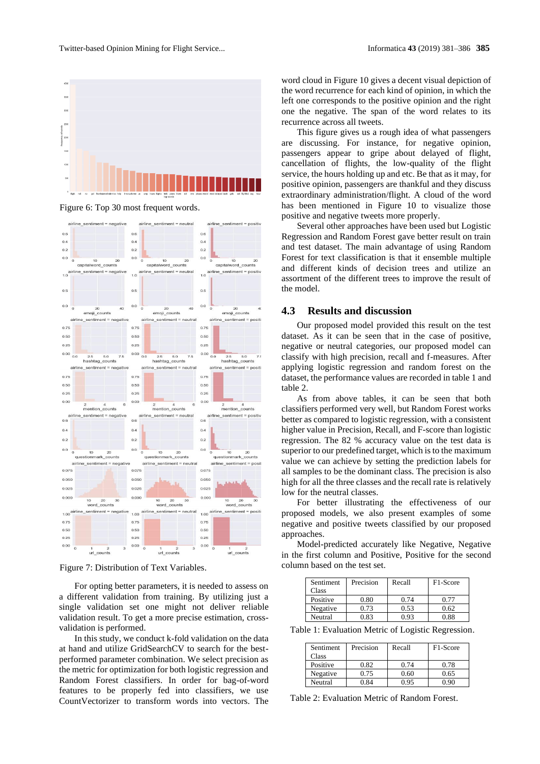

Figure 6: Top 30 most frequent words.



Figure 7: Distribution of Text Variables.

For opting better parameters, it is needed to assess on a different validation from training. By utilizing just a single validation set one might not deliver reliable validation result. To get a more precise estimation, crossvalidation is performed.

In this study, we conduct k-fold validation on the data at hand and utilize GridSearchCV to search for the bestperformed parameter combination. We select precision as the metric for optimization for both logistic regression and Random Forest classifiers. In order for bag-of-word features to be properly fed into classifiers, we use CountVectorizer to transform words into vectors. The word cloud in Figure 10 gives a decent visual depiction of the word recurrence for each kind of opinion, in which the left one corresponds to the positive opinion and the right one the negative. The span of the word relates to its recurrence across all tweets.

This figure gives us a rough idea of what passengers are discussing. For instance, for negative opinion, passengers appear to gripe about delayed of flight, cancellation of flights, the low-quality of the flight service, the hours holding up and etc. Be that as it may, for positive opinion, passengers are thankful and they discuss extraordinary administration/flight. A cloud of the word has been mentioned in Figure 10 to visualize those positive and negative tweets more properly.

Several other approaches have been used but Logistic Regression and Random Forest gave better result on train and test dataset. The main advantage of using Random Forest for text classification is that it ensemble multiple and different kinds of decision trees and utilize an assortment of the different trees to improve the result of the model.

#### **4.3 Results and discussion**

Our proposed model provided this result on the test dataset. As it can be seen that in the case of positive, negative or neutral categories, our proposed model can classify with high precision, recall and f-measures. After applying logistic regression and random forest on the dataset, the performance values are recorded in table 1 and table 2.

As from above tables, it can be seen that both classifiers performed very well, but Random Forest works better as compared to logistic regression, with a consistent higher value in Precision, Recall, and F-score than logistic regression. The 82 % accuracy value on the test data is superior to our predefined target, which is to the maximum value we can achieve by setting the prediction labels for all samples to be the dominant class. The precision is also high for all the three classes and the recall rate is relatively low for the neutral classes.

For better illustrating the effectiveness of our proposed models, we also present examples of some negative and positive tweets classified by our proposed approaches.

Model-predicted accurately like Negative, Negative in the first column and Positive, Positive for the second column based on the test set.

| Sentiment<br>Class | Precision | Recall | F <sub>1</sub> -Score |
|--------------------|-----------|--------|-----------------------|
| Positive           | 0.80      | 0.74   | 0.77                  |
| Negative           | 0.73      | 0.53   | 0.62                  |
| Neutral            | 0.83      | 0.93   | 0.88                  |

Table 1: Evaluation Metric of Logistic Regression.

| Sentiment<br>Class | Precision | Recall | F <sub>1</sub> -Score |
|--------------------|-----------|--------|-----------------------|
| Positive           | 0.82      | 0.74   | 0.78                  |
| Negative           | 0.75      | 0.60   | 0.65                  |
| Neutral            | ገ ጸ4      | 0.95   | ) ዓበ                  |

Table 2: Evaluation Metric of Random Forest.